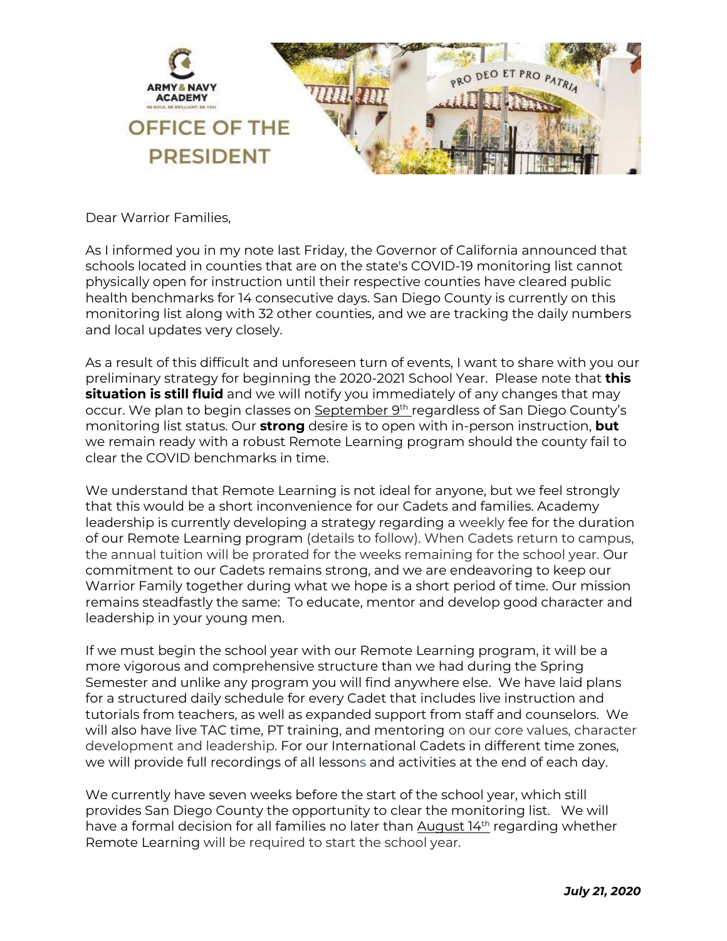

Dear Warrior Families,

As I informed you in my note last Friday, the Governor of California announced that schools located in counties that are on the state's COVID-19 monitoring list cannot physically open for instruction until their respective counties have cleared public health benchmarks for 14 consecutive days. San Diego County is currently on this monitoring list along with 32 other counties, and we are tracking the daily numbers and local updates very closely.

As a result of this difficult and unforeseen turn of events, I want to share with you our preliminary strategy for beginning the 2020-2021 School Year. Please note that **this situation is still fluid** and we will notify you immediately of any changes that may occur. We plan to begin classes on September 9<sup>th</sup> regardless of San Diego County's monitoring list status. Our **strong** desire is to open with in-person instruction, **but** we remain ready with a robust Remote Learning program should the county fail to clear the COVID benchmarks in time.

We understand that Remote Learning is not ideal for anyone, but we feel strongly that this would be a short inconvenience for our Cadets and families. Academy leadership is currently developing a strategy regarding a weekly fee for the duration of our Remote Learning program (details to follow). When Cadets return to campus, the annual tuition will be prorated for the weeks remaining for the school year. Our commitment to our Cadets remains strong, and we are endeavoring to keep our Warrior Family together during what we hope is a short period of time. Our mission remains steadfastly the same: To educate, mentor and develop good character and leadership in your young men.

If we must begin the school year with our Remote Learning program, it will be a more vigorous and comprehensive structure than we had during the Spring Semester and unlike any program you will find anywhere else. We have laid plans for a structured daily schedule for every Cadet that includes live instruction and tutorials from teachers, as well as expanded support from staff and counselors. We will also have live TAC time, PT training, and mentoring on our core values, character development and leadership. For our International Cadets in different time zones, we will provide full recordings of all lessons and activities at the end of each day.

We currently have seven weeks before the start of the school year, which still provides San Diego County the opportunity to clear the monitoring list. We will have a formal decision for all families no later than August  $14<sup>th</sup>$  regarding whether Remote Learning will be required to start the school year.